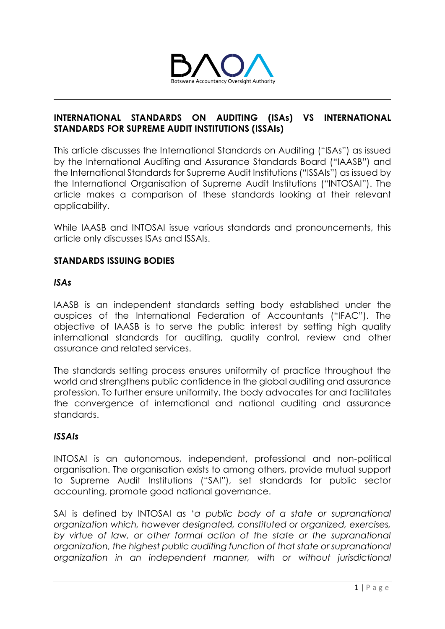

### **INTERNATIONAL STANDARDS ON AUDITING (ISAs) VS INTERNATIONAL STANDARDS FOR SUPREME AUDIT INSTITUTIONS (ISSAIs)**

This article discusses the International Standards on Auditing ("ISAs") as issued by the International Auditing and Assurance Standards Board ("IAASB") and the International Standards for Supreme Audit Institutions ("ISSAIs") as issued by the International Organisation of Supreme Audit Institutions ("INTOSAI"). The article makes a comparison of these standards looking at their relevant applicability.

While IAASB and INTOSAI issue various standards and pronouncements, this article only discusses ISAs and ISSAIs.

### **STANDARDS ISSUING BODIES**

### *ISAs*

IAASB is an independent standards setting body established under the auspices of the International Federation of Accountants ("IFAC"). The objective of IAASB is to serve the public interest by setting high quality international standards for auditing, quality control, review and other assurance and related services.

The standards setting process ensures uniformity of practice throughout the world and strengthens public confidence in the global auditing and assurance profession. To further ensure uniformity, the body advocates for and facilitates the convergence of international and national auditing and assurance standards.

### *ISSAIs*

INTOSAI is an autonomous, independent, professional and non-political organisation. The organisation exists to among others, provide mutual support to Supreme Audit Institutions ("SAI"), set standards for public sector accounting, promote good national governance.

SAI is defined by INTOSAI as '*a public body of a state or supranational organization which, however designated, constituted or organized, exercises,*  by virtue of law, or other formal action of the state or the supranational *organization, the highest public auditing function of that state or supranational organization in an independent manner, with or without jurisdictional*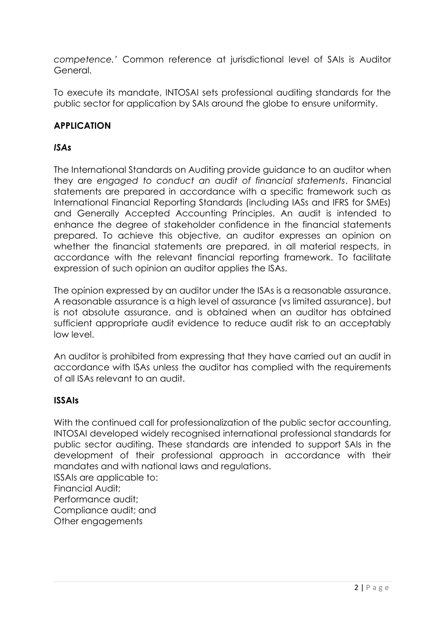*competence.'* Common reference at jurisdictional level of SAIs is Auditor General.

To execute its mandate, INTOSAI sets professional auditing standards for the public sector for application by SAIs around the globe to ensure uniformity.

# **APPLICATION**

## *ISAs*

The International Standards on Auditing provide guidance to an auditor when they are *engaged to conduct an audit of financial statements*. Financial statements are prepared in accordance with a specific framework such as International Financial Reporting Standards (including IASs and IFRS for SMEs) and Generally Accepted Accounting Principles. An audit is intended to enhance the degree of stakeholder confidence in the financial statements prepared. To achieve this objective, an auditor expresses an opinion on whether the financial statements are prepared, in all material respects, in accordance with the relevant financial reporting framework. To facilitate expression of such opinion an auditor applies the ISAs.

The opinion expressed by an auditor under the ISAs is a reasonable assurance. A reasonable assurance is a high level of assurance (vs limited assurance), but is not absolute assurance, and is obtained when an auditor has obtained sufficient appropriate audit evidence to reduce audit risk to an acceptably low level.

An auditor is prohibited from expressing that they have carried out an audit in accordance with ISAs unless the auditor has complied with the requirements of all ISAs relevant to an audit.

### **ISSAIs**

With the continued call for professionalization of the public sector accounting, INTOSAI developed widely recognised international professional standards for public sector auditing. These standards are intended to support SAIs in the development of their professional approach in accordance with their mandates and with national laws and regulations. ISSAIs are applicable to:

Financial Audit;

Performance audit;

Compliance audit; and

Other engagements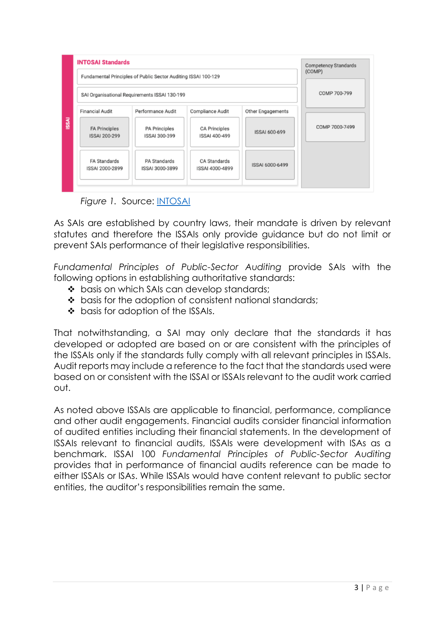

*Figure 1.* Source: [INTOSAI](https://www.intosai.org/focus-areas/audit-standards)

As SAIs are established by country laws, their mandate is driven by relevant statutes and therefore the ISSAIs only provide guidance but do not limit or prevent SAIs performance of their legislative responsibilities.

*Fundamental Principles of Public-Sector Auditing* provide SAIs with the following options in establishing authoritative standards:

- ❖ basis on which SAIs can develop standards;
- ❖ basis for the adoption of consistent national standards;
- ❖ basis for adoption of the ISSAIs.

That notwithstanding, a SAI may only declare that the standards it has developed or adopted are based on or are consistent with the principles of the ISSAIs only if the standards fully comply with all relevant principles in ISSAIs. Audit reports may include a reference to the fact that the standards used were based on or consistent with the ISSAI or ISSAIs relevant to the audit work carried out.

As noted above ISSAIs are applicable to financial, performance, compliance and other audit engagements. Financial audits consider financial information of audited entities including their financial statements. In the development of ISSAIs relevant to financial audits, ISSAIs were development with ISAs as a benchmark. ISSAI 100 *Fundamental Principles of Public-Sector Auditing* provides that in performance of financial audits reference can be made to either ISSAIs or ISAs. While ISSAIs would have content relevant to public sector entities, the auditor's responsibilities remain the same.